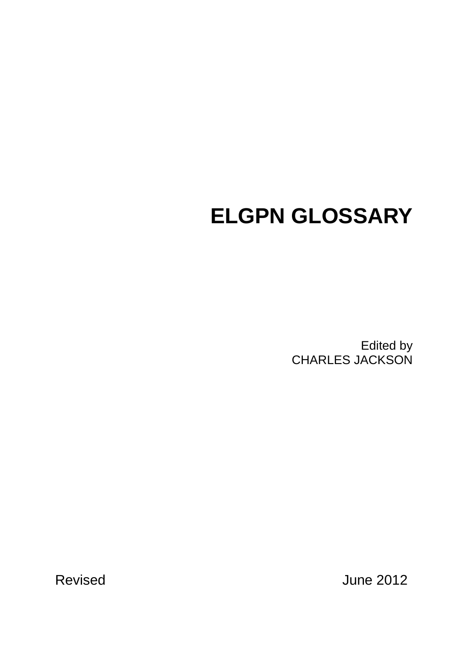# **ELGPN GLOSSARY**

Edited by CHARLES JACKSON

Revised June 2012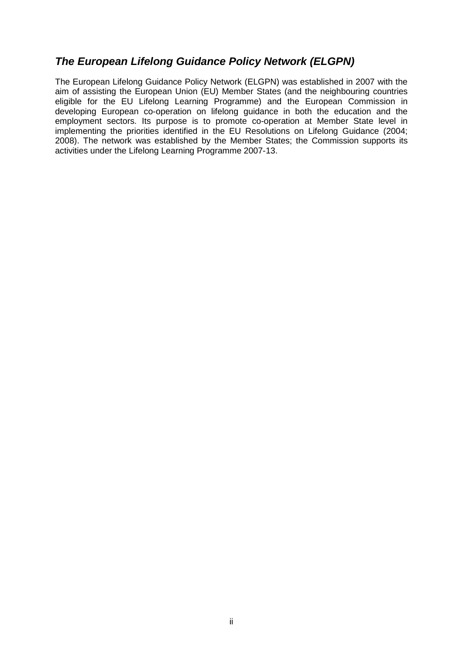# <span id="page-1-0"></span>*The European Lifelong Guidance Policy Network (ELGPN)*

The European Lifelong Guidance Policy Network (ELGPN) was established in 2007 with the aim of assisting the European Union (EU) Member States (and the neighbouring countries eligible for the EU Lifelong Learning Programme) and the European Commission in developing European co-operation on lifelong guidance in both the education and the employment sectors. Its purpose is to promote co-operation at Member State level in implementing the priorities identified in the EU Resolutions on Lifelong Guidance (2004; 2008). The network was established by the Member States; the Commission supports its activities under the Lifelong Learning Programme 2007-13.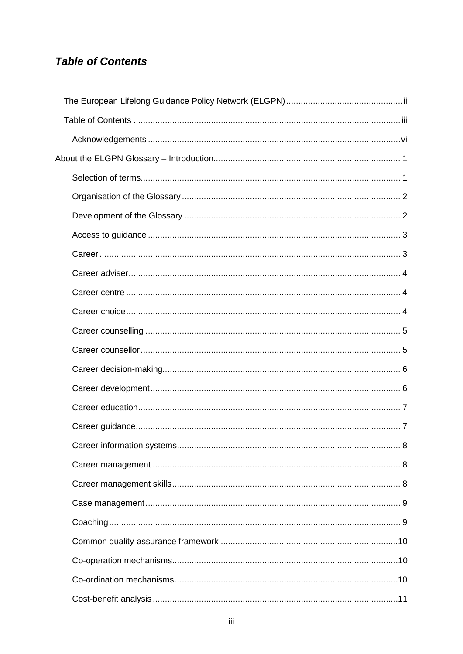# <span id="page-2-0"></span>**Table of Contents**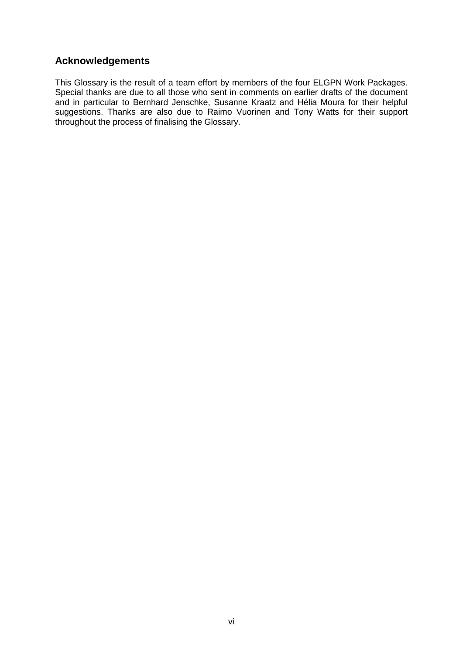# <span id="page-5-0"></span>**Acknowledgements**

This Glossary is the result of a team effort by members of the four ELGPN Work Packages. Special thanks are due to all those who sent in comments on earlier drafts of the document and in particular to Bernhard Jenschke, Susanne Kraatz and Hélia Moura for their helpful suggestions. Thanks are also due to Raimo Vuorinen and Tony Watts for their support throughout the process of finalising the Glossary.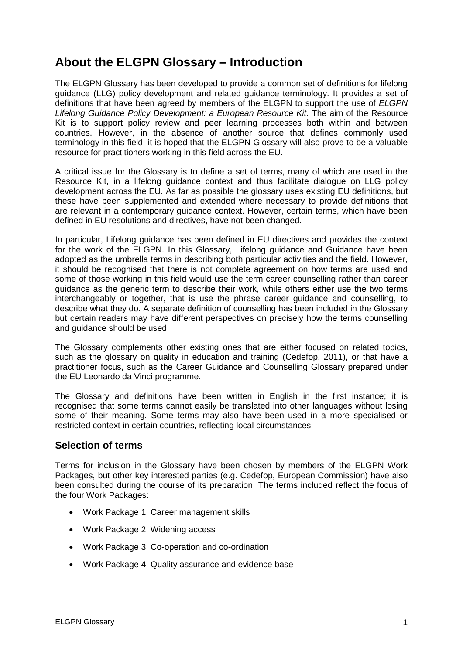# <span id="page-6-0"></span>**About the ELGPN Glossary – Introduction**

The ELGPN Glossary has been developed to provide a common set of definitions for lifelong guidance (LLG) policy development and related guidance terminology. It provides a set of definitions that have been agreed by members of the ELGPN to support the use of *ELGPN Lifelong Guidance Policy Development: a European Resource Kit*. The aim of the Resource Kit is to support policy review and peer learning processes both within and between countries. However, in the absence of another source that defines commonly used terminology in this field, it is hoped that the ELGPN Glossary will also prove to be a valuable resource for practitioners working in this field across the EU.

A critical issue for the Glossary is to define a set of terms, many of which are used in the Resource Kit, in a lifelong guidance context and thus facilitate dialogue on LLG policy development across the EU. As far as possible the glossary uses existing EU definitions, but these have been supplemented and extended where necessary to provide definitions that are relevant in a contemporary guidance context. However, certain terms, which have been defined in EU resolutions and directives, have not been changed.

In particular, Lifelong guidance has been defined in EU directives and provides the context for the work of the ELGPN. In this Glossary, Lifelong guidance and Guidance have been adopted as the umbrella terms in describing both particular activities and the field. However, it should be recognised that there is not complete agreement on how terms are used and some of those working in this field would use the term career counselling rather than career guidance as the generic term to describe their work, while others either use the two terms interchangeably or together, that is use the phrase career guidance and counselling, to describe what they do. A separate definition of counselling has been included in the Glossary but certain readers may have different perspectives on precisely how the terms counselling and guidance should be used.

The Glossary complements other existing ones that are either focused on related topics, such as the glossary on quality in education and training (Cedefop, 2011), or that have a practitioner focus, such as the Career Guidance and Counselling Glossary prepared under the EU Leonardo da Vinci programme.

The Glossary and definitions have been written in English in the first instance; it is recognised that some terms cannot easily be translated into other languages without losing some of their meaning. Some terms may also have been used in a more specialised or restricted context in certain countries, reflecting local circumstances.

### <span id="page-6-1"></span>**Selection of terms**

Terms for inclusion in the Glossary have been chosen by members of the ELGPN Work Packages, but other key interested parties (e.g. Cedefop, European Commission) have also been consulted during the course of its preparation. The terms included reflect the focus of the four Work Packages:

- Work Package 1: Career management skills
- Work Package 2: Widening access
- Work Package 3: Co-operation and co-ordination
- Work Package 4: Quality assurance and evidence base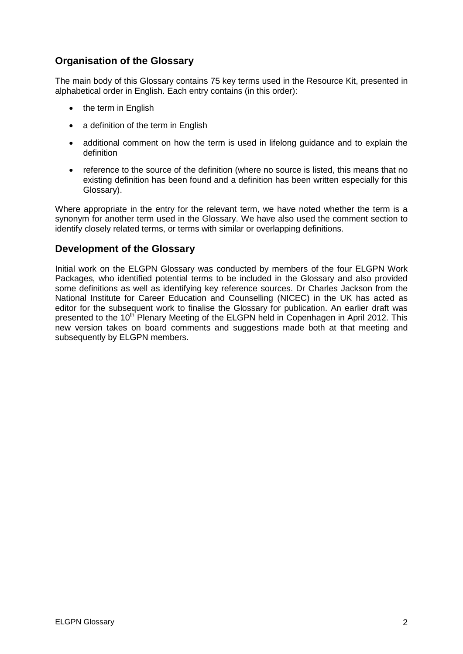# <span id="page-7-0"></span>**Organisation of the Glossary**

The main body of this Glossary contains 75 key terms used in the Resource Kit, presented in alphabetical order in English. Each entry contains (in this order):

- the term in English
- a definition of the term in English
- additional comment on how the term is used in lifelong guidance and to explain the definition
- reference to the source of the definition (where no source is listed, this means that no existing definition has been found and a definition has been written especially for this Glossary).

Where appropriate in the entry for the relevant term, we have noted whether the term is a synonym for another term used in the Glossary. We have also used the comment section to identify closely related terms, or terms with similar or overlapping definitions.

### <span id="page-7-1"></span>**Development of the Glossary**

Initial work on the ELGPN Glossary was conducted by members of the four ELGPN Work Packages, who identified potential terms to be included in the Glossary and also provided some definitions as well as identifying key reference sources. Dr Charles Jackson from the National Institute for Career Education and Counselling (NICEC) in the UK has acted as editor for the subsequent work to finalise the Glossary for publication. An earlier draft was presented to the 10<sup>th</sup> Plenary Meeting of the ELGPN held in Copenhagen in April 2012. This new version takes on board comments and suggestions made both at that meeting and subsequently by ELGPN members.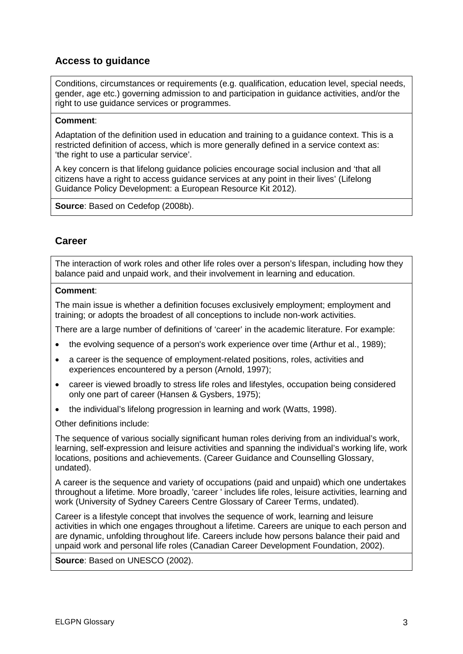# <span id="page-8-0"></span>**Access to guidance**

Conditions, circumstances or requirements (e.g. qualification, education level, special needs, gender, age etc.) governing admission to and participation in guidance activities, and/or the right to use guidance services or programmes.

#### **Comment**:

Adaptation of the definition used in education and training to a guidance context. This is a restricted definition of access, which is more generally defined in a service context as: 'the right to use a particular service'.

A key concern is that lifelong guidance policies encourage social inclusion and 'that all citizens have a right to access guidance services at any point in their lives' (Lifelong Guidance Policy Development: a European Resource Kit 2012).

**Source**: Based on Cedefop (2008b).

# <span id="page-8-1"></span>**Career**

The interaction of work roles and other life roles over a person's lifespan, including how they balance paid and unpaid work, and their involvement in learning and education.

#### **Comment**:

The main issue is whether a definition focuses exclusively employment; employment and training; or adopts the broadest of all conceptions to include non-work activities.

There are a large number of definitions of 'career' in the academic literature. For example:

- the evolving sequence of a person's work experience over time (Arthur et al., 1989);
- a career is the sequence of employment-related positions, roles, activities and experiences encountered by a person (Arnold, 1997);
- career is viewed broadly to stress life roles and lifestyles, occupation being considered only one part of career (Hansen & Gysbers, 1975);
- the individual's lifelong progression in learning and work (Watts, 1998).

Other definitions include:

The sequence of various socially significant human roles deriving from an individual's work, learning, self-expression and leisure activities and spanning the individual's working life, work locations, positions and achievements. (Career Guidance and Counselling Glossary, undated).

A career is the sequence and variety of occupations (paid and unpaid) which one undertakes throughout a lifetime. More broadly, 'career ' includes life roles, leisure activities, learning and work (University of Sydney Careers Centre Glossary of Career Terms, undated).

Career is a lifestyle concept that involves the sequence of work, learning and leisure activities in which one engages throughout a lifetime. Careers are unique to each person and are dynamic, unfolding throughout life. Careers include how persons balance their paid and unpaid work and personal life roles (Canadian Career Development Foundation, 2002).

**Source**: Based on UNESCO (2002).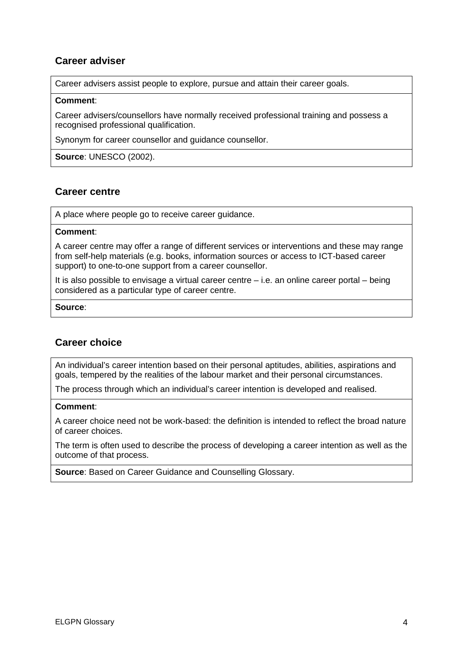# <span id="page-9-0"></span>**Career adviser**

Career advisers assist people to explore, pursue and attain their career goals.

#### **Comment**:

Career advisers/counsellors have normally received professional training and possess a recognised professional qualification.

Synonym for career counsellor and guidance counsellor.

**Source**: UNESCO (2002).

### <span id="page-9-1"></span>**Career centre**

A place where people go to receive career guidance.

#### **Comment**:

A career centre may offer a range of different services or interventions and these may range from self-help materials (e.g. books, information sources or access to ICT-based career support) to one-to-one support from a career counsellor.

It is also possible to envisage a virtual career centre – i.e. an online career portal – being considered as a particular type of career centre.

#### **Source**:

### <span id="page-9-2"></span>**Career choice**

An individual's career intention based on their personal aptitudes, abilities, aspirations and goals, tempered by the realities of the labour market and their personal circumstances.

The process through which an individual's career intention is developed and realised.

#### **Comment**:

A career choice need not be work-based: the definition is intended to reflect the broad nature of career choices.

The term is often used to describe the process of developing a career intention as well as the outcome of that process.

**Source**: Based on Career Guidance and Counselling Glossary.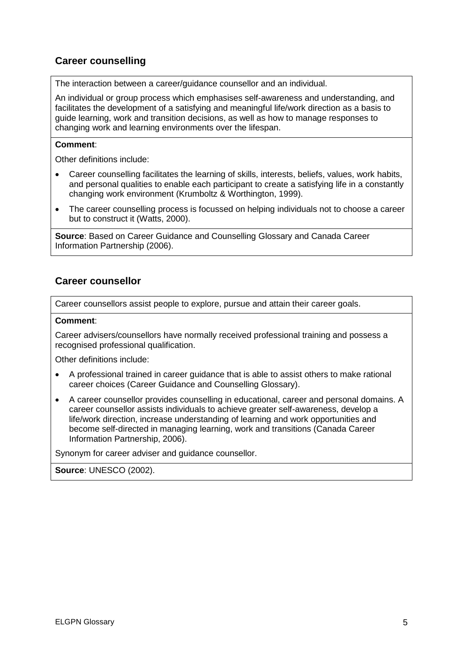# <span id="page-10-0"></span>**Career counselling**

The interaction between a career/guidance counsellor and an individual.

An individual or group process which emphasises self-awareness and understanding, and facilitates the development of a satisfying and meaningful life/work direction as a basis to guide learning, work and transition decisions, as well as how to manage responses to changing work and learning environments over the lifespan.

#### **Comment**:

Other definitions include:

- Career counselling facilitates the learning of skills, interests, beliefs, values, work habits, and personal qualities to enable each participant to create a satisfying life in a constantly changing work environment (Krumboltz & Worthington, 1999).
- The career counselling process is focussed on helping individuals not to choose a career but to construct it (Watts, 2000).

**Source**: Based on Career Guidance and Counselling Glossary and Canada Career Information Partnership (2006).

### <span id="page-10-1"></span>**Career counsellor**

Career counsellors assist people to explore, pursue and attain their career goals.

#### **Comment**:

Career advisers/counsellors have normally received professional training and possess a recognised professional qualification.

Other definitions include:

- A professional trained in career guidance that is able to assist others to make rational career choices (Career Guidance and Counselling Glossary).
- A career counsellor provides counselling in educational, career and personal domains. A career counsellor assists individuals to achieve greater self-awareness, develop a life/work direction, increase understanding of learning and work opportunities and become self-directed in managing learning, work and transitions (Canada Career Information Partnership, 2006).

Synonym for career adviser and guidance counsellor.

**Source**: UNESCO (2002).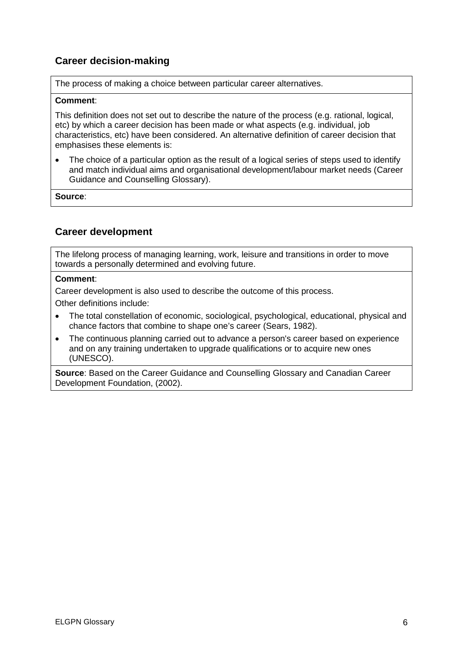# <span id="page-11-0"></span>**Career decision-making**

The process of making a choice between particular career alternatives.

#### **Comment**:

This definition does not set out to describe the nature of the process (e.g. rational, logical, etc) by which a career decision has been made or what aspects (e.g. individual, job characteristics, etc) have been considered. An alternative definition of career decision that emphasises these elements is:

The choice of a particular option as the result of a logical series of steps used to identify and match individual aims and organisational development/labour market needs (Career Guidance and Counselling Glossary).

**Source**:

# <span id="page-11-1"></span>**Career development**

The lifelong process of managing learning, work, leisure and transitions in order to move towards a personally determined and evolving future.

#### **Comment**:

Career development is also used to describe the outcome of this process.

Other definitions include:

- The total constellation of economic, sociological, psychological, educational, physical and chance factors that combine to shape one's career (Sears, 1982).
- The continuous planning carried out to advance a person's career based on experience and on any training undertaken to upgrade qualifications or to acquire new ones (UNESCO).

**Source**: Based on the Career Guidance and Counselling Glossary and Canadian Career Development Foundation, (2002).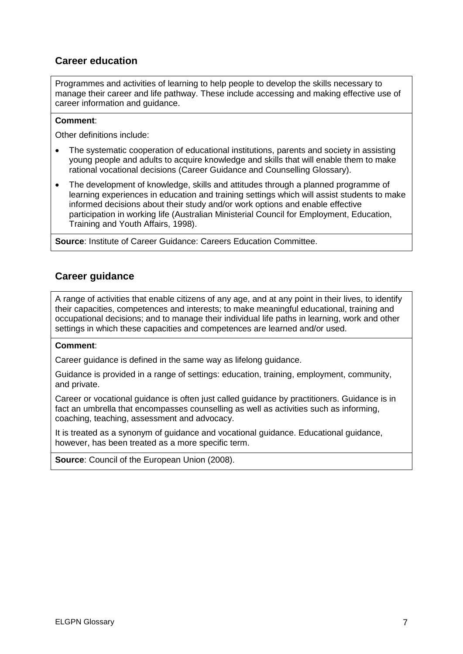# <span id="page-12-0"></span>**Career education**

Programmes and activities of learning to help people to develop the skills necessary to manage their career and life pathway. These include accessing and making effective use of career information and guidance.

#### **Comment**:

Other definitions include:

- The systematic cooperation of educational institutions, parents and society in assisting young people and adults to acquire knowledge and skills that will enable them to make rational vocational decisions (Career Guidance and Counselling Glossary).
- The development of knowledge, skills and attitudes through a planned programme of learning experiences in education and training settings which will assist students to make informed decisions about their study and/or work options and enable effective participation in working life (Australian Ministerial Council for Employment, Education, Training and Youth Affairs, 1998).

**Source**: Institute of Career Guidance: Careers Education Committee.

### <span id="page-12-1"></span>**Career guidance**

A range of activities that enable citizens of any age, and at any point in their lives, to identify their capacities, competences and interests; to make meaningful educational, training and occupational decisions; and to manage their individual life paths in learning, work and other settings in which these capacities and competences are learned and/or used.

#### **Comment**:

Career guidance is defined in the same way as lifelong guidance.

Guidance is provided in a range of settings: education, training, employment, community, and private.

Career or vocational guidance is often just called guidance by practitioners. Guidance is in fact an umbrella that encompasses counselling as well as activities such as informing, coaching, teaching, assessment and advocacy.

It is treated as a synonym of guidance and vocational guidance. Educational guidance, however, has been treated as a more specific term.

**Source**: Council of the European Union (2008).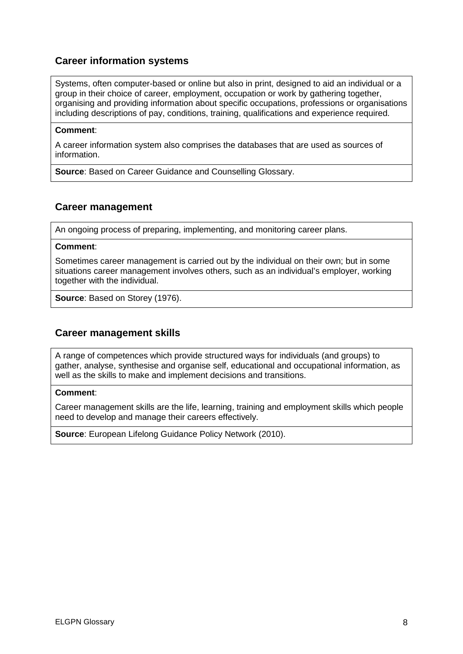# <span id="page-13-0"></span>**Career information systems**

Systems, often computer-based or online but also in print, designed to aid an individual or a group in their choice of career, employment, occupation or work by gathering together, organising and providing information about specific occupations, professions or organisations including descriptions of pay, conditions, training, qualifications and experience required.

#### **Comment**:

A career information system also comprises the databases that are used as sources of information.

**Source**: Based on Career Guidance and Counselling Glossary.

### <span id="page-13-1"></span>**Career management**

An ongoing process of preparing, implementing, and monitoring career plans.

#### **Comment**:

Sometimes career management is carried out by the individual on their own; but in some situations career management involves others, such as an individual's employer, working together with the individual.

**Source**: Based on Storey (1976).

### <span id="page-13-2"></span>**Career management skills**

A range of competences which provide structured ways for individuals (and groups) to gather, analyse, synthesise and organise self, educational and occupational information, as well as the skills to make and implement decisions and transitions.

#### **Comment**:

Career management skills are the life, learning, training and employment skills which people need to develop and manage their careers effectively.

**Source**: European Lifelong Guidance Policy Network (2010).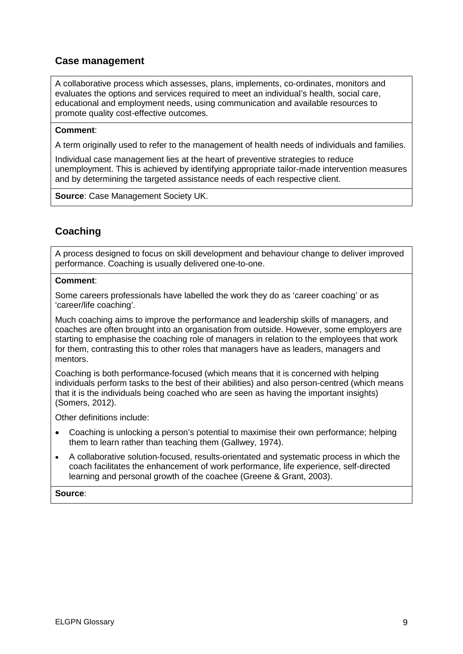# <span id="page-14-0"></span>**Case management**

A collaborative process which assesses, plans, implements, co-ordinates, monitors and evaluates the options and services required to meet an individual's health, social care, educational and employment needs, using communication and available resources to promote quality cost-effective outcomes.

#### **Comment**:

A term originally used to refer to the management of health needs of individuals and families.

Individual case management lies at the heart of preventive strategies to reduce unemployment. This is achieved by identifying appropriate tailor-made intervention measures and by determining the targeted assistance needs of each respective client.

**Source**: Case Management Society UK.

# <span id="page-14-1"></span>**Coaching**

A process designed to focus on skill development and behaviour change to deliver improved performance. Coaching is usually delivered one-to-one.

#### **Comment**:

Some careers professionals have labelled the work they do as 'career coaching' or as 'career/life coaching'.

Much coaching aims to improve the performance and leadership skills of managers, and coaches are often brought into an organisation from outside. However, some employers are starting to emphasise the coaching role of managers in relation to the employees that work for them, contrasting this to other roles that managers have as leaders, managers and mentors.

Coaching is both performance-focused (which means that it is concerned with helping individuals perform tasks to the best of their abilities) and also person-centred (which means that it is the individuals being coached who are seen as having the important insights) (Somers, 2012).

Other definitions include:

- Coaching is unlocking a person's potential to maximise their own performance; helping them to learn rather than teaching them (Gallwey, 1974).
- A collaborative solution-focused, results-orientated and systematic process in which the coach facilitates the enhancement of work performance, life experience, self-directed learning and personal growth of the coachee (Greene & Grant, 2003).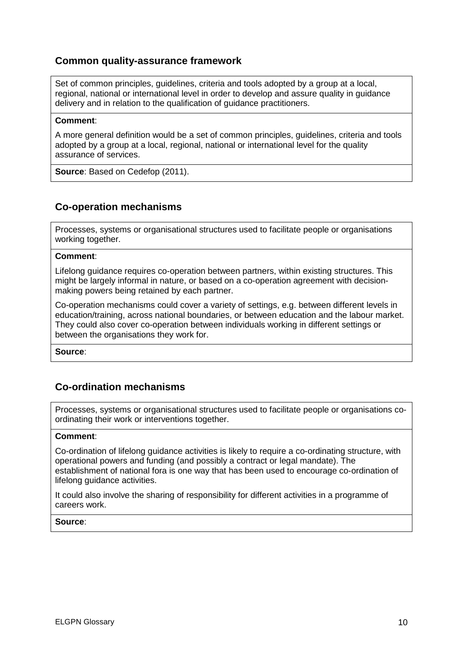### <span id="page-15-0"></span>**Common quality-assurance framework**

Set of common principles, guidelines, criteria and tools adopted by a group at a local, regional, national or international level in order to develop and assure quality in guidance delivery and in relation to the qualification of guidance practitioners.

#### **Comment**:

A more general definition would be a set of common principles, guidelines, criteria and tools adopted by a group at a local, regional, national or international level for the quality assurance of services.

**Source**: Based on Cedefop (2011).

### <span id="page-15-1"></span>**Co-operation mechanisms**

Processes, systems or organisational structures used to facilitate people or organisations working together.

#### **Comment**:

Lifelong guidance requires co-operation between partners, within existing structures. This might be largely informal in nature, or based on a co-operation agreement with decisionmaking powers being retained by each partner.

Co-operation mechanisms could cover a variety of settings, e.g. between different levels in education/training, across national boundaries, or between education and the labour market. They could also cover co-operation between individuals working in different settings or between the organisations they work for.

**Source**:

### <span id="page-15-2"></span>**Co-ordination mechanisms**

Processes, systems or organisational structures used to facilitate people or organisations coordinating their work or interventions together.

#### **Comment**:

Co-ordination of lifelong guidance activities is likely to require a co-ordinating structure, with operational powers and funding (and possibly a contract or legal mandate). The establishment of national fora is one way that has been used to encourage co-ordination of lifelong guidance activities.

It could also involve the sharing of responsibility for different activities in a programme of careers work.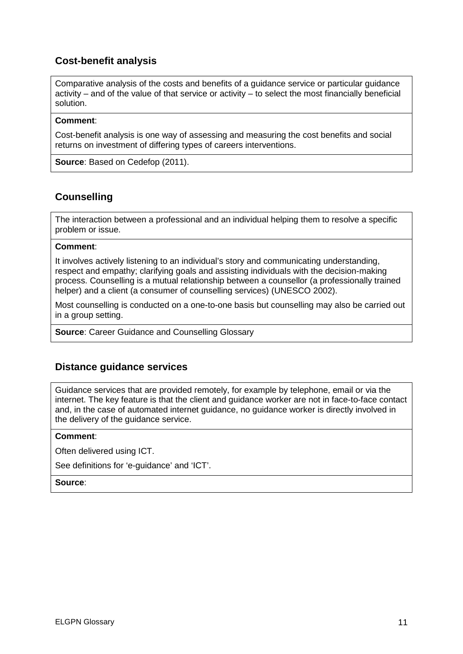# <span id="page-16-0"></span>**Cost-benefit analysis**

Comparative analysis of the costs and benefits of a guidance service or particular guidance activity – and of the value of that service or activity – to select the most financially beneficial solution.

#### **Comment**:

Cost-benefit analysis is one way of assessing and measuring the cost benefits and social returns on investment of differing types of careers interventions.

**Source**: Based on Cedefop (2011).

### <span id="page-16-1"></span>**Counselling**

The interaction between a professional and an individual helping them to resolve a specific problem or issue.

#### **Comment**:

It involves actively listening to an individual's story and communicating understanding, respect and empathy; clarifying goals and assisting individuals with the decision-making process. Counselling is a mutual relationship between a counsellor (a professionally trained helper) and a client (a consumer of counselling services) (UNESCO 2002).

Most counselling is conducted on a one-to-one basis but counselling may also be carried out in a group setting.

**Source**: Career Guidance and Counselling Glossary

### <span id="page-16-2"></span>**Distance guidance services**

Guidance services that are provided remotely, for example by telephone, email or via the internet. The key feature is that the client and guidance worker are not in face-to-face contact and, in the case of automated internet guidance, no guidance worker is directly involved in the delivery of the guidance service.

#### **Comment**:

Often delivered using ICT.

See definitions for 'e-guidance' and 'ICT'.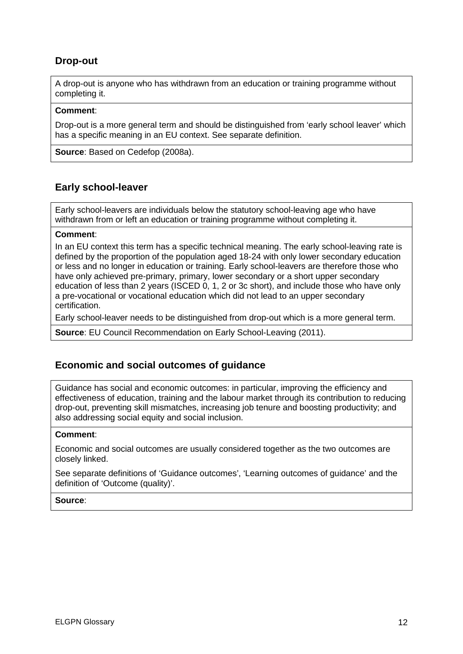# <span id="page-17-0"></span>**Drop-out**

A drop-out is anyone who has withdrawn from an education or training programme without completing it.

#### **Comment**:

Drop-out is a more general term and should be distinguished from 'early school leaver' which has a specific meaning in an EU context. See separate definition.

**Source**: Based on Cedefop (2008a).

# <span id="page-17-1"></span>**Early school-leaver**

Early school-leavers are individuals below the statutory school-leaving age who have withdrawn from or left an education or training programme without completing it.

#### **Comment**:

In an EU context this term has a specific technical meaning. The early school-leaving rate is defined by the proportion of the population aged 18-24 with only lower secondary education or less and no longer in education or training. Early school-leavers are therefore those who have only achieved pre-primary, primary, lower secondary or a short upper secondary education of less than 2 years (ISCED 0, 1, 2 or 3c short), and include those who have only a pre-vocational or vocational education which did not lead to an upper secondary certification.

Early school-leaver needs to be distinguished from drop-out which is a more general term.

**Source**: EU Council Recommendation on Early School-Leaving (2011).

### <span id="page-17-2"></span>**Economic and social outcomes of guidance**

Guidance has social and economic outcomes: in particular, improving the efficiency and effectiveness of education, training and the labour market through its contribution to reducing drop-out, preventing skill mismatches, increasing job tenure and boosting productivity; and also addressing social equity and social inclusion.

#### **Comment**:

Economic and social outcomes are usually considered together as the two outcomes are closely linked.

See separate definitions of 'Guidance outcomes', 'Learning outcomes of guidance' and the definition of 'Outcome (quality)'.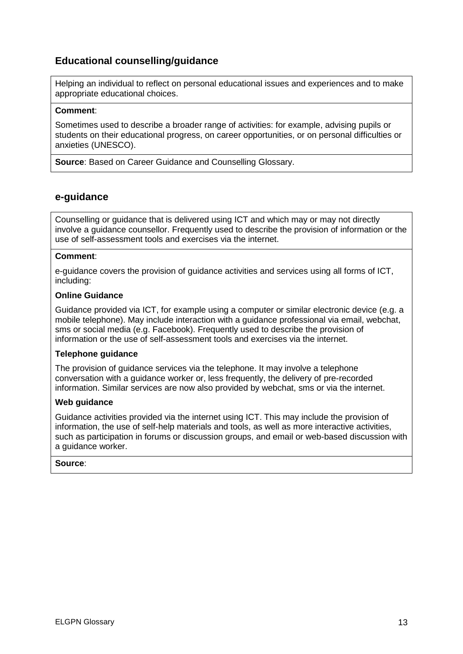# <span id="page-18-0"></span>**Educational counselling/guidance**

Helping an individual to reflect on personal educational issues and experiences and to make appropriate educational choices.

#### **Comment**:

Sometimes used to describe a broader range of activities: for example, advising pupils or students on their educational progress, on career opportunities, or on personal difficulties or anxieties (UNESCO).

**Source**: Based on Career Guidance and Counselling Glossary.

### <span id="page-18-1"></span>**e-guidance**

Counselling or guidance that is delivered using ICT and which may or may not directly involve a guidance counsellor. Frequently used to describe the provision of information or the use of self-assessment tools and exercises via the internet.

#### **Comment**:

e-guidance covers the provision of guidance activities and services using all forms of ICT, including:

#### **Online Guidance**

Guidance provided via ICT, for example using a computer or similar electronic device (e.g. a mobile telephone). May include interaction with a guidance professional via email, webchat, sms or social media (e.g. Facebook). Frequently used to describe the provision of information or the use of self-assessment tools and exercises via the internet.

#### **Telephone guidance**

The provision of guidance services via the telephone. It may involve a telephone conversation with a guidance worker or, less frequently, the delivery of pre-recorded information. Similar services are now also provided by webchat, sms or via the internet.

#### **Web guidance**

Guidance activities provided via the internet using ICT. This may include the provision of information, the use of self-help materials and tools, as well as more interactive activities, such as participation in forums or discussion groups, and email or web-based discussion with a guidance worker.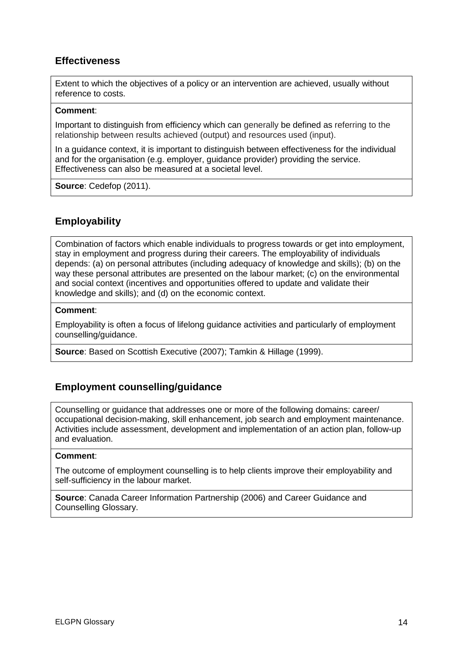# <span id="page-19-0"></span>**Effectiveness**

Extent to which the objectives of a policy or an intervention are achieved, usually without reference to costs.

#### **Comment**:

Important to distinguish from efficiency which can generally be defined as referring to the relationship between results achieved (output) and resources used (input).

In a guidance context, it is important to distinguish between effectiveness for the individual and for the organisation (e.g. employer, guidance provider) providing the service. Effectiveness can also be measured at a societal level.

**Source**: Cedefop (2011).

# <span id="page-19-1"></span>**Employability**

Combination of factors which enable individuals to progress towards or get into employment, stay in employment and progress during their careers. The employability of individuals depends: (a) on personal attributes (including adequacy of knowledge and skills); (b) on the way these personal attributes are presented on the labour market; (c) on the environmental and social context (incentives and opportunities offered to update and validate their knowledge and skills); and (d) on the economic context.

#### **Comment**:

Employability is often a focus of lifelong guidance activities and particularly of employment counselling/guidance.

**Source**: Based on Scottish Executive (2007); Tamkin & Hillage (1999).

### <span id="page-19-2"></span>**Employment counselling/guidance**

Counselling or guidance that addresses one or more of the following domains: career/ occupational decision-making, skill enhancement, job search and employment maintenance. Activities include assessment, development and implementation of an action plan, follow-up and evaluation.

#### **Comment**:

The outcome of employment counselling is to help clients improve their employability and self-sufficiency in the labour market.

**Source**: Canada Career Information Partnership (2006) and Career Guidance and Counselling Glossary.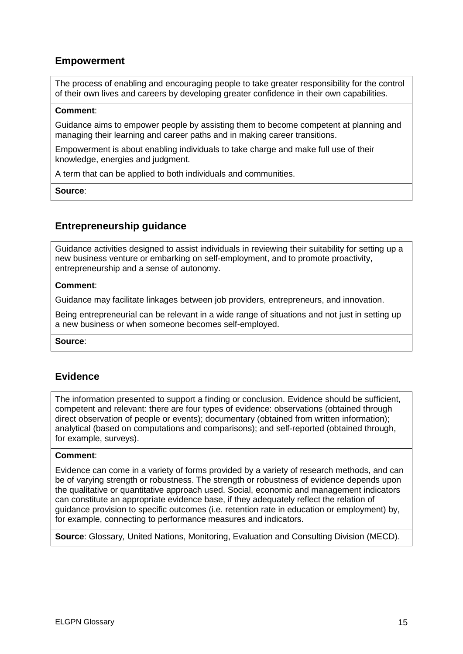# <span id="page-20-0"></span>**Empowerment**

The process of enabling and encouraging people to take greater responsibility for the control of their own lives and careers by developing greater confidence in their own capabilities.

#### **Comment**:

Guidance aims to empower people by assisting them to become competent at planning and managing their learning and career paths and in making career transitions.

Empowerment is about enabling individuals to take charge and make full use of their knowledge, energies and judgment.

A term that can be applied to both individuals and communities.

**Source**:

### <span id="page-20-1"></span>**Entrepreneurship guidance**

Guidance activities designed to assist individuals in reviewing their suitability for setting up a new business venture or embarking on self-employment, and to promote proactivity, entrepreneurship and a sense of autonomy.

#### **Comment**:

Guidance may facilitate linkages between job providers, entrepreneurs, and innovation.

Being entrepreneurial can be relevant in a wide range of situations and not just in setting up a new business or when someone becomes self-employed.

**Source**:

### <span id="page-20-2"></span>**Evidence**

The information presented to support a finding or conclusion. Evidence should be sufficient, competent and relevant: there are four types of evidence: observations (obtained through direct observation of people or events); documentary (obtained from written information); analytical (based on computations and comparisons); and self-reported (obtained through, for example, surveys).

#### **Comment**:

Evidence can come in a variety of forms provided by a variety of research methods, and can be of varying strength or robustness. The strength or robustness of evidence depends upon the qualitative or quantitative approach used. Social, economic and management indicators can constitute an appropriate evidence base, if they adequately reflect the relation of guidance provision to specific outcomes (i.e. retention rate in education or employment) by, for example, connecting to performance measures and indicators.

**Source**: Glossary*,* United Nations, Monitoring, Evaluation and Consulting Division (MECD).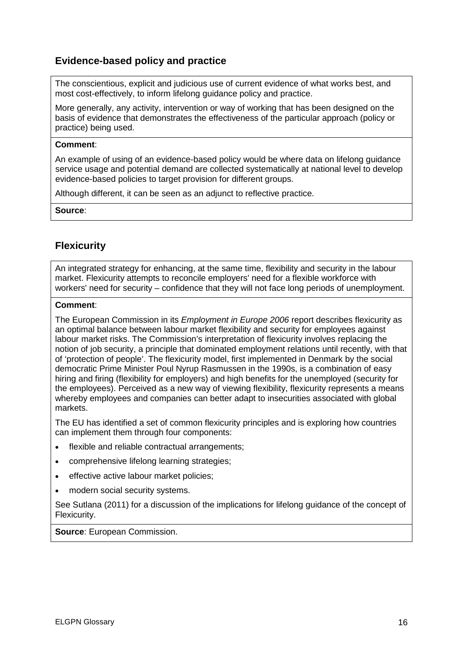# <span id="page-21-0"></span>**Evidence-based policy and practice**

The conscientious, explicit and judicious use of current evidence of what works best, and most cost-effectively, to inform lifelong guidance policy and practice.

More generally, any activity, intervention or way of working that has been designed on the basis of evidence that demonstrates the effectiveness of the particular approach (policy or practice) being used.

#### **Comment**:

An example of using of an evidence-based policy would be where data on lifelong guidance service usage and potential demand are collected systematically at national level to develop evidence-based policies to target provision for different groups.

Although different, it can be seen as an adjunct to reflective practice.

**Source**:

# <span id="page-21-1"></span>**Flexicurity**

An integrated strategy for enhancing, at the same time, flexibility and security in the labour market. Flexicurity attempts to reconcile employers' need for a flexible workforce with workers' need for security – confidence that they will not face long periods of unemployment.

#### **Comment**:

The European Commission in its *Employment in Europe 2006* report describes flexicurity as an optimal balance between labour market [flexibility](http://www.eurofound.europa.eu/areas/industrialrelations/dictionary/definitions/flexibility.htm) and security for employees against labour market risks. The Commission's interpretation of flexicurity involves replacing the notion of job security, a principle that dominated employment relations until recently, with that of 'protection of people'. The flexicurity model, first implemented in Denmark by the social democratic Prime Minister Poul Nyrup Rasmussen in the 1990s, is a combination of easy hiring and firing (flexibility for employers) and high benefits for the unemployed (security for the employees). Perceived as a new way of viewing flexibility, flexicurity represents a means whereby employees and companies can better adapt to insecurities associated with global markets.

The EU has identified a set of [common flexicurity principles](http://ec.europa.eu/social/BlobServlet?docId=1515&langId=en) and is exploring how countries can implement them through four components:

- flexible and reliable contractual arrangements:
- comprehensive lifelong learning strategies;
- effective active labour market policies;
- modern social security systems.

See Sutlana (2011) for a discussion of the implications for lifelong guidance of the concept of Flexicurity.

**Source**: European Commission.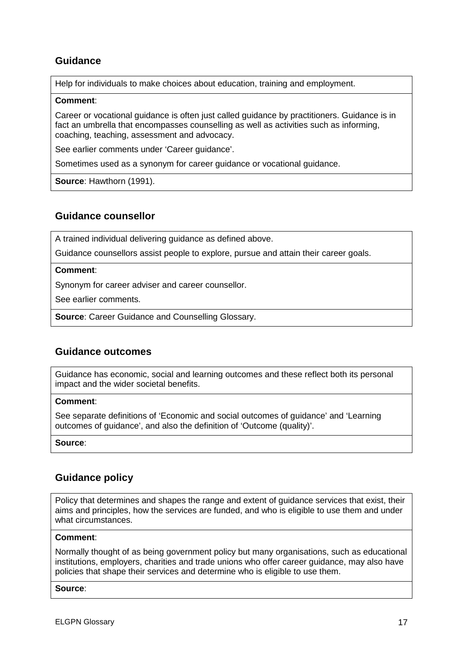# <span id="page-22-0"></span>**Guidance**

Help for individuals to make choices about education, training and employment.

#### **Comment**:

Career or vocational guidance is often just called guidance by practitioners. Guidance is in fact an umbrella that encompasses counselling as well as activities such as informing, coaching, teaching, assessment and advocacy.

See earlier comments under 'Career guidance'.

Sometimes used as a synonym for career guidance or vocational guidance.

**Source**: Hawthorn (1991).

### <span id="page-22-1"></span>**Guidance counsellor**

A trained individual delivering guidance as defined above.

Guidance counsellors assist people to explore, pursue and attain their career goals.

#### **Comment**:

Synonym for career adviser and career counsellor.

See earlier comments.

**Source**: Career Guidance and Counselling Glossary.

### <span id="page-22-2"></span>**Guidance outcomes**

Guidance has economic, social and learning outcomes and these reflect both its personal impact and the wider societal benefits.

#### **Comment**:

See separate definitions of 'Economic and social outcomes of guidance' and 'Learning outcomes of guidance', and also the definition of 'Outcome (quality)'.

#### **Source**:

### <span id="page-22-3"></span>**Guidance policy**

Policy that determines and shapes the range and extent of guidance services that exist, their aims and principles, how the services are funded, and who is eligible to use them and under what circumstances.

#### **Comment**:

Normally thought of as being government policy but many organisations, such as educational institutions, employers, charities and trade unions who offer career guidance, may also have policies that shape their services and determine who is eligible to use them.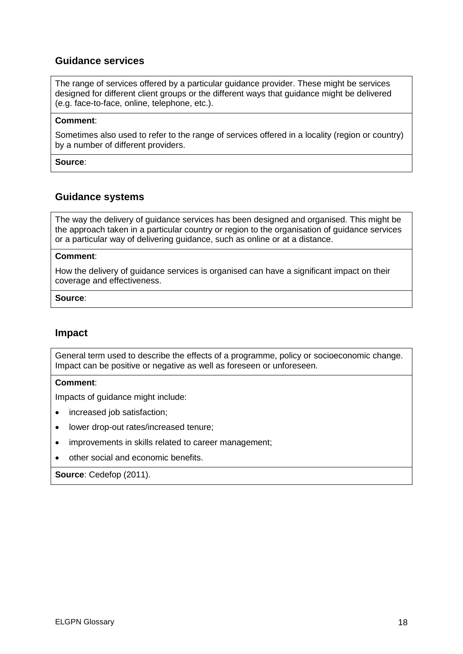### <span id="page-23-0"></span>**Guidance services**

The range of services offered by a particular guidance provider. These might be services designed for different client groups or the different ways that guidance might be delivered (e.g. face-to-face, online, telephone, etc.).

#### **Comment**:

Sometimes also used to refer to the range of services offered in a locality (region or country) by a number of different providers.

**Source**:

#### <span id="page-23-1"></span>**Guidance systems**

The way the delivery of guidance services has been designed and organised. This might be the approach taken in a particular country or region to the organisation of guidance services or a particular way of delivering guidance, such as online or at a distance.

#### **Comment**:

How the delivery of guidance services is organised can have a significant impact on their coverage and effectiveness.

#### **Source**:

### <span id="page-23-2"></span>**Impact**

General term used to describe the effects of a programme, policy or socioeconomic change. Impact can be positive or negative as well as foreseen or unforeseen.

#### **Comment**:

Impacts of guidance might include:

- increased job satisfaction;
- lower drop-out rates/increased tenure;
- improvements in skills related to career management;
- other social and economic benefits.

#### **Source**: Cedefop (2011).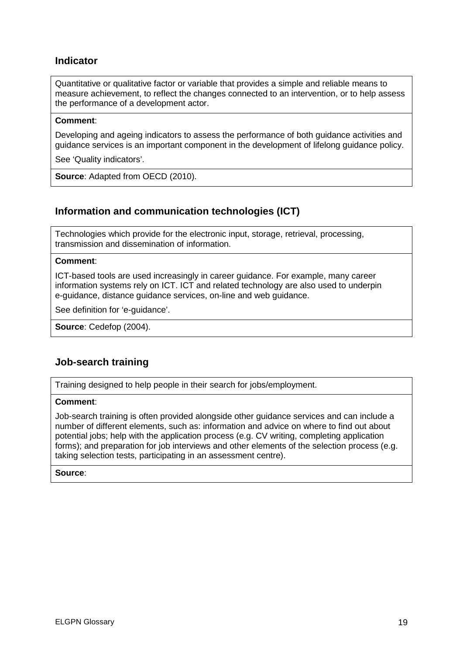# <span id="page-24-0"></span>**Indicator**

Quantitative or qualitative factor or variable that provides a simple and reliable means to measure achievement, to reflect the changes connected to an intervention, or to help assess the performance of a development actor.

#### **Comment**:

Developing and ageing indicators to assess the performance of both guidance activities and guidance services is an important component in the development of lifelong guidance policy.

See 'Quality indicators'.

**Source**: Adapted from OECD (2010).

# <span id="page-24-1"></span>**Information and communication technologies (ICT)**

Technologies which provide for the electronic input, storage, retrieval, processing, transmission and dissemination of information.

#### **Comment**:

ICT-based tools are used increasingly in career guidance. For example, many career information systems rely on ICT. ICT and related technology are also used to underpin e-guidance, distance guidance services, on-line and web guidance.

See definition for 'e-guidance'.

**Source**: Cedefop (2004).

### <span id="page-24-2"></span>**Job-search training**

Training designed to help people in their search for jobs/employment.

#### **Comment**:

Job-search training is often provided alongside other guidance services and can include a number of different elements, such as: information and advice on where to find out about potential jobs; help with the application process (e.g. CV writing, completing application forms); and preparation for job interviews and other elements of the selection process (e.g. taking selection tests, participating in an assessment centre).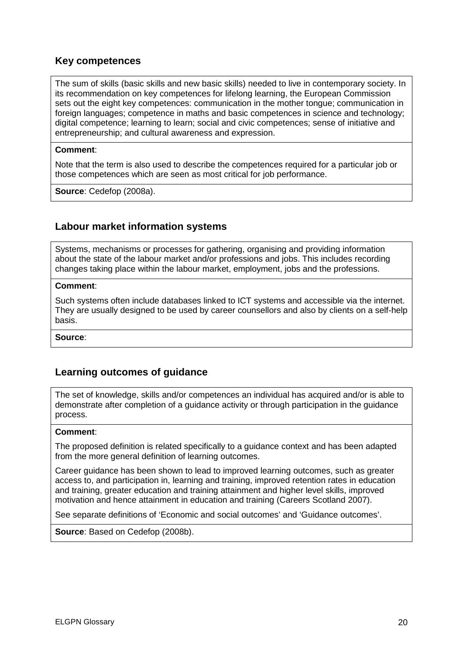### <span id="page-25-0"></span>**Key competences**

The sum of skills (basic skills and new basic skills) needed to live in contemporary society. In its recommendation on key competences for lifelong learning, the European Commission sets out the eight key competences: communication in the mother tongue; communication in foreign languages; competence in maths and basic competences in science and technology; digital competence; learning to learn; social and civic competences; sense of initiative and entrepreneurship; and cultural awareness and expression.

#### **Comment**:

Note that the term is also used to describe the competences required for a particular job or those competences which are seen as most critical for job performance.

**Source**: Cedefop (2008a).

### <span id="page-25-1"></span>**Labour market information systems**

Systems, mechanisms or processes for gathering, organising and providing information about the state of the labour market and/or professions and jobs. This includes recording changes taking place within the labour market, employment, jobs and the professions.

#### **Comment**:

Such systems often include databases linked to ICT systems and accessible via the internet. They are usually designed to be used by career counsellors and also by clients on a self-help basis.

**Source**:

### <span id="page-25-2"></span>**Learning outcomes of guidance**

The set of knowledge, skills and/or competences an individual has acquired and/or is able to demonstrate after completion of a guidance activity or through participation in the guidance process.

#### **Comment**:

The proposed definition is related specifically to a guidance context and has been adapted from the more general definition of learning outcomes.

Career guidance has been shown to lead to improved learning outcomes, such as greater access to, and participation in, learning and training, improved retention rates in education and training, greater education and training attainment and higher level skills, improved motivation and hence attainment in education and training (Careers Scotland 2007).

See separate definitions of 'Economic and social outcomes' and 'Guidance outcomes'.

**Source**: Based on Cedefop (2008b).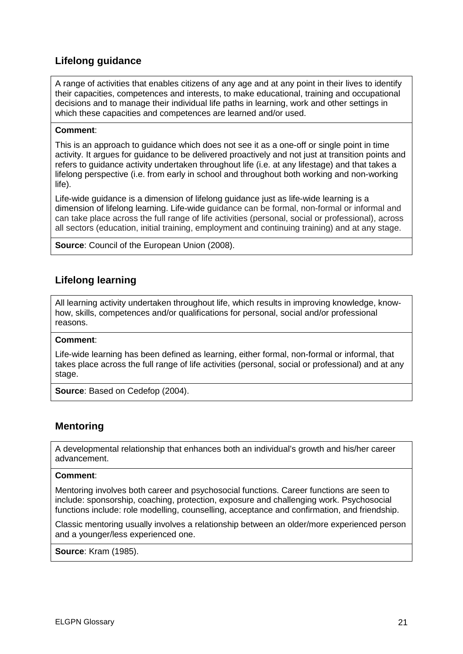# <span id="page-26-0"></span>**Lifelong guidance**

A range of activities that enables citizens of any age and at any point in their lives to identify their capacities, competences and interests, to make educational, training and occupational decisions and to manage their individual life paths in learning, work and other settings in which these capacities and competences are learned and/or used.

#### **Comment**:

This is an approach to guidance which does not see it as a one-off or single point in time activity. It argues for guidance to be delivered proactively and not just at transition points and refers to guidance activity undertaken throughout life (i.e. at any lifestage) and that takes a lifelong perspective (i.e. from early in school and throughout both working and non-working life).

Life-wide guidance is a dimension of lifelong guidance just as life-wide learning is a dimension of lifelong learning. Life-wide guidance can be formal, non-formal or informal and can take place across the full range of life activities (personal, social or professional), across all sectors (education, initial training, employment and continuing training) and at any stage.

**Source**: Council of the European Union (2008).

### <span id="page-26-1"></span>**Lifelong learning**

All learning activity undertaken throughout life, which results in improving knowledge, knowhow, skills, competences and/or qualifications for personal, social and/or professional reasons.

#### **Comment**:

Life-wide learning has been defined as learning, either formal, non-formal or informal, that takes place across the full range of life activities (personal, social or professional) and at any stage.

**Source**: Based on Cedefop (2004).

### <span id="page-26-2"></span>**Mentoring**

A developmental relationship that enhances both an individual's growth and his/her career advancement.

#### **Comment**:

Mentoring involves both career and psychosocial functions. Career functions are seen to include: sponsorship, coaching, protection, exposure and challenging work. Psychosocial functions include: role modelling, counselling, acceptance and confirmation, and friendship.

Classic mentoring usually involves a relationship between an older/more experienced person and a younger/less experienced one.

**Source**: Kram (1985).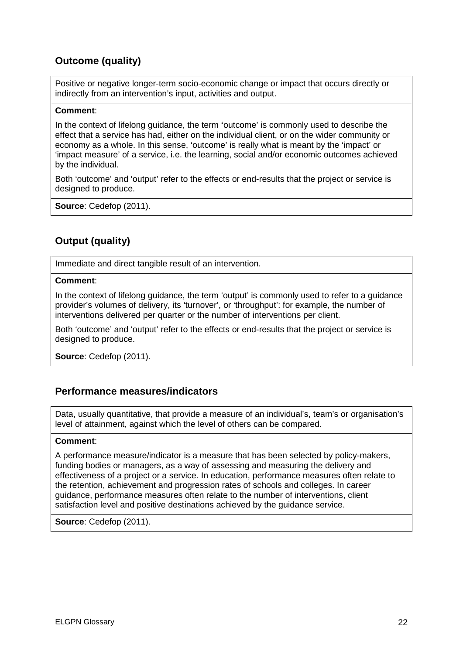# <span id="page-27-0"></span>**Outcome (quality)**

Positive or negative longer-term socio-economic change or impact that occurs directly or indirectly from an intervention's input, activities and output.

#### **Comment**:

In the context of lifelong guidance, the term **'**outcome' is commonly used to describe the effect that a service has had, either on the individual client, or on the wider community or economy as a whole. In this sense, 'outcome' is really what is meant by the 'impact' or 'impact measure' of a service, i.e. the learning, social and/or economic outcomes achieved by the individual.

Both 'outcome' and 'output' refer to the effects or end-results that the project or service is designed to produce.

**Source**: Cedefop (2011).

# <span id="page-27-1"></span>**Output (quality)**

Immediate and direct tangible result of an intervention.

#### **Comment**:

In the context of lifelong guidance, the term 'output' is commonly used to refer to a guidance provider's volumes of delivery, its 'turnover', or 'throughput': for example, the number of interventions delivered per quarter or the number of interventions per client.

Both 'outcome' and 'output' refer to the effects or end-results that the project or service is designed to produce.

**Source**: Cedefop (2011).

### <span id="page-27-2"></span>**Performance measures/indicators**

Data, usually quantitative, that provide a measure of an individual's, team's or organisation's level of attainment, against which the level of others can be compared.

#### **Comment**:

A performance measure/indicator is a measure that has been selected by policy-makers, funding bodies or managers, as a way of assessing and measuring the delivery and effectiveness of a project or a service. In education, performance measures often relate to the retention, achievement and progression rates of schools and colleges. In career guidance, performance measures often relate to the number of interventions, client satisfaction level and positive destinations achieved by the guidance service.

**Source**: Cedefop (2011).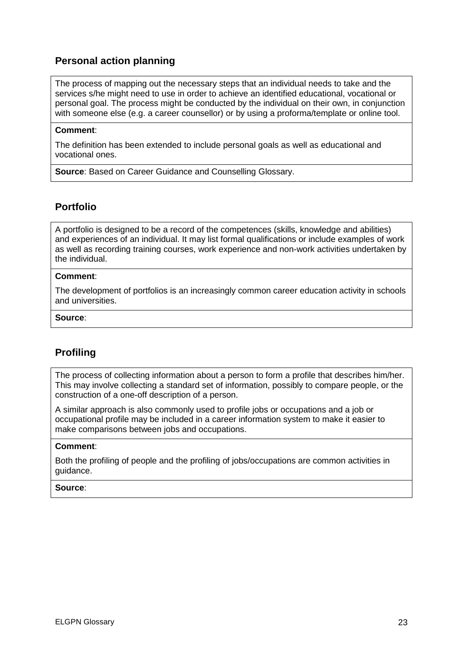# <span id="page-28-0"></span>**Personal action planning**

The process of mapping out the necessary steps that an individual needs to take and the services s/he might need to use in order to achieve an identified educational, vocational or personal goal. The process might be conducted by the individual on their own, in conjunction with someone else (e.g. a career counsellor) or by using a proforma/template or online tool.

#### **Comment**:

The definition has been extended to include personal goals as well as educational and vocational ones.

**Source**: Based on Career Guidance and Counselling Glossary.

# <span id="page-28-1"></span>**Portfolio**

A portfolio is designed to be a record of the competences (skills, knowledge and abilities) and experiences of an individual. It may list formal qualifications or include examples of work as well as recording training courses, work experience and non-work activities undertaken by the individual.

#### **Comment**:

The development of portfolios is an increasingly common career education activity in schools and universities.

#### **Source**:

# <span id="page-28-2"></span>**Profiling**

The process of collecting information about a person to form a profile that describes him/her. This may involve collecting a standard set of information, possibly to compare people, or the construction of a one-off description of a person.

A similar approach is also commonly used to profile jobs or occupations and a job or occupational profile may be included in a career information system to make it easier to make comparisons between jobs and occupations.

#### **Comment**:

Both the profiling of people and the profiling of jobs/occupations are common activities in guidance.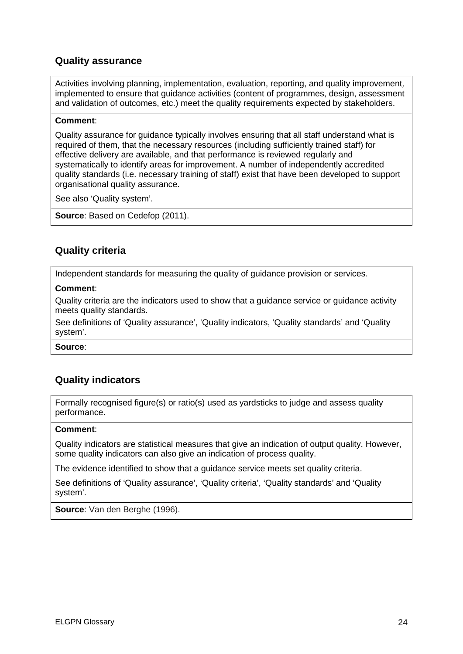### <span id="page-29-0"></span>**Quality assurance**

Activities involving planning, implementation, evaluation, reporting, and quality improvement*,*  implemented to ensure that guidance activities (content of programmes, design, assessment and validation of outcomes, etc.) meet the quality requirements expected by stakeholders.

#### **Comment**:

Quality assurance for guidance typically involves ensuring that all staff understand what is required of them, that the necessary resources (including sufficiently trained staff) for effective delivery are available, and that performance is reviewed regularly and systematically to identify areas for improvement. A number of independently accredited quality standards (i.e. necessary training of staff) exist that have been developed to support organisational quality assurance.

See also 'Quality system'.

**Source**: Based on Cedefop (2011).

# <span id="page-29-1"></span>**Quality criteria**

Independent standards for measuring the quality of guidance provision or services.

#### **Comment**:

Quality criteria are the indicators used to show that a guidance service or guidance activity meets quality standards.

See definitions of 'Quality assurance', 'Quality indicators, 'Quality standards' and 'Quality system'.

**Source**:

# <span id="page-29-2"></span>**Quality indicators**

Formally recognised figure(s) or ratio(s) used as yardsticks to judge and assess quality performance.

#### **Comment**:

Quality indicators are statistical measures that give an indication of output quality. However, some quality indicators can also give an indication of process quality.

The evidence identified to show that a guidance service meets set quality criteria.

See definitions of 'Quality assurance', 'Quality criteria', 'Quality standards' and 'Quality system'.

**Source**: Van den Berghe (1996).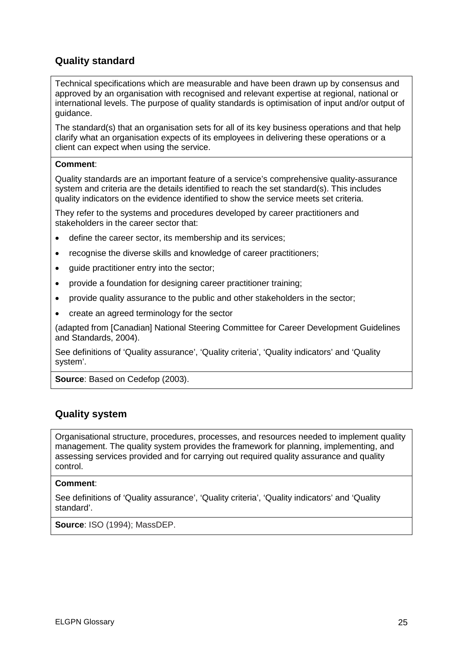# <span id="page-30-0"></span>**Quality standard**

Technical specifications which are measurable and have been drawn up by consensus and approved by an organisation with recognised and relevant expertise at regional, national or international levels. The purpose of quality standards is optimisation of input and/or output of guidance.

The standard(s) that an organisation sets for all of its key business operations and that help clarify what an organisation expects of its employees in delivering these operations or a client can expect when using the service.

#### **Comment**:

Quality standards are an important feature of a service's comprehensive quality-assurance system and criteria are the details identified to reach the set standard(s). This includes quality indicators on the evidence identified to show the service meets set criteria.

They refer to the systems and procedures developed by career practitioners and stakeholders in the career sector that:

- define the career sector, its membership and its services;
- recognise the diverse skills and knowledge of career practitioners;
- quide practitioner entry into the sector;
- provide a foundation for designing career practitioner training;
- provide quality assurance to the public and other stakeholders in the sector;
- create an agreed terminology for the sector

(adapted from [Canadian] National Steering Committee for Career Development Guidelines and Standards, 2004).

See definitions of 'Quality assurance', 'Quality criteria', 'Quality indicators' and 'Quality system'.

**Source**: Based on Cedefop (2003).

### <span id="page-30-1"></span>**Quality system**

Organisational structure, procedures, processes, and resources needed to implement quality management. The quality system provides the framework for planning, implementing, and assessing services provided and for carrying out required quality assurance and quality control.

#### **Comment**:

See definitions of 'Quality assurance', 'Quality criteria', 'Quality indicators' and 'Quality standard'.

**Source**: ISO (1994); MassDEP.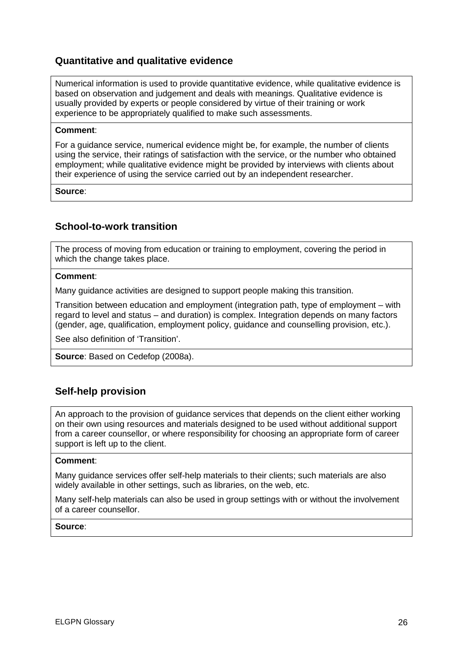# <span id="page-31-0"></span>**Quantitative and qualitative evidence**

Numerical information is used to provide quantitative evidence, while qualitative evidence is based on observation and judgement and deals with meanings. Qualitative evidence is usually provided by experts or people considered by virtue of their training or work experience to be appropriately qualified to make such assessments.

#### **Comment**:

For a guidance service, numerical evidence might be, for example, the number of clients using the service, their ratings of satisfaction with the service, or the number who obtained employment; while qualitative evidence might be provided by interviews with clients about their experience of using the service carried out by an independent researcher.

**Source**:

### <span id="page-31-1"></span>**School-to-work transition**

The process of moving from education or training to employment, covering the period in which the change takes place.

#### **Comment**:

Many guidance activities are designed to support people making this transition.

Transition between education and employment (integration path, type of employment – with regard to level and status – and duration) is complex. Integration depends on many factors (gender, age, qualification, employment policy, guidance and counselling provision, etc.).

See also definition of 'Transition'.

**Source**: Based on Cedefop (2008a).

### <span id="page-31-2"></span>**Self-help provision**

An approach to the provision of guidance services that depends on the client either working on their own using resources and materials designed to be used without additional support from a career counsellor, or where responsibility for choosing an appropriate form of career support is left up to the client.

#### **Comment**:

Many guidance services offer self-help materials to their clients; such materials are also widely available in other settings, such as libraries, on the web, etc.

Many self-help materials can also be used in group settings with or without the involvement of a career counsellor.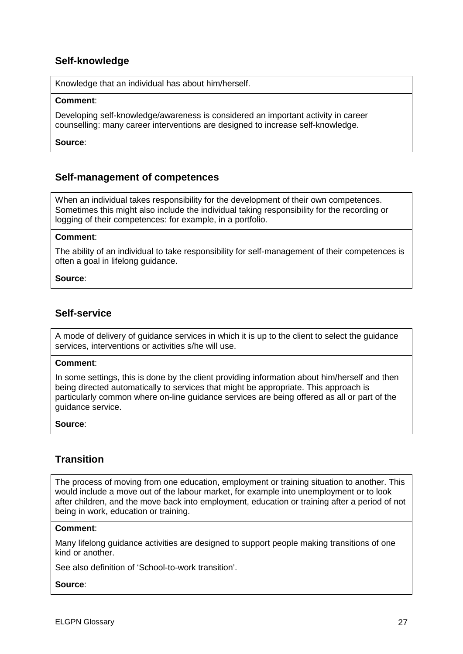# <span id="page-32-0"></span>**Self-knowledge**

Knowledge that an individual has about him/herself.

#### **Comment**:

Developing self-knowledge/awareness is considered an important activity in career counselling: many career interventions are designed to increase self-knowledge.

#### **Source**:

### <span id="page-32-1"></span>**Self-management of competences**

When an individual takes responsibility for the development of their own competences. Sometimes this might also include the individual taking responsibility for the recording or logging of their competences: for example, in a portfolio.

#### **Comment**:

The ability of an individual to take responsibility for self-management of their competences is often a goal in lifelong guidance.

#### **Source**:

### <span id="page-32-2"></span>**Self-service**

A mode of delivery of guidance services in which it is up to the client to select the guidance services, interventions or activities s/he will use.

#### **Comment**:

In some settings, this is done by the client providing information about him/herself and then being directed automatically to services that might be appropriate. This approach is particularly common where on-line guidance services are being offered as all or part of the guidance service.

#### **Source**:

### <span id="page-32-3"></span>**Transition**

The process of moving from one education, employment or training situation to another. This would include a move out of the labour market, for example into unemployment or to look after children, and the move back into employment, education or training after a period of not being in work, education or training.

#### **Comment**:

Many lifelong guidance activities are designed to support people making transitions of one kind or another.

See also definition of 'School-to-work transition'.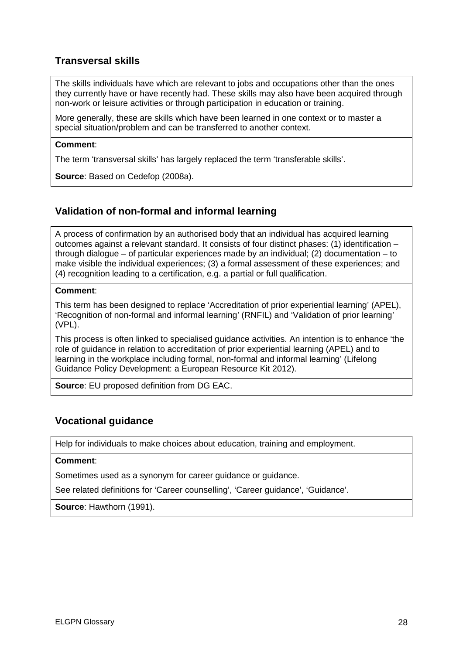# <span id="page-33-0"></span>**Transversal skills**

The skills individuals have which are relevant to jobs and occupations other than the ones they currently have or have recently had. These skills may also have been acquired through non-work or leisure activities or through participation in education or training.

More generally, these are skills which have been learned in one context or to master a special situation/problem and can be transferred to another context.

#### **Comment**:

The term 'transversal skills' has largely replaced the term 'transferable skills'.

**Source**: Based on Cedefop (2008a).

# <span id="page-33-1"></span>**Validation of non-formal and informal learning**

A process of confirmation by an authorised body that an individual has acquired learning outcomes against a relevant standard. It consists of four distinct phases: (1) identification – through dialogue – of particular experiences made by an individual; (2) documentation – to make visible the individual experiences; (3) a formal assessment of these experiences; and (4) recognition leading to a certification, e.g. a partial or full qualification.

#### **Comment**:

This term has been designed to replace 'Accreditation of prior experiential learning' (APEL), 'Recognition of non-formal and informal learning' (RNFIL) and 'Validation of prior learning' (VPL).

This process is often linked to specialised guidance activities. An intention is to enhance 'the role of guidance in relation to accreditation of prior experiential learning (APEL) and to learning in the workplace including formal, non-formal and informal learning' (Lifelong Guidance Policy Development: a European Resource Kit 2012).

**Source**: EU proposed definition from DG EAC.

### <span id="page-33-2"></span>**Vocational guidance**

Help for individuals to make choices about education, training and employment.

#### **Comment**:

Sometimes used as a synonym for career guidance or guidance.

See related definitions for 'Career counselling', 'Career guidance', 'Guidance'.

**Source**: Hawthorn (1991).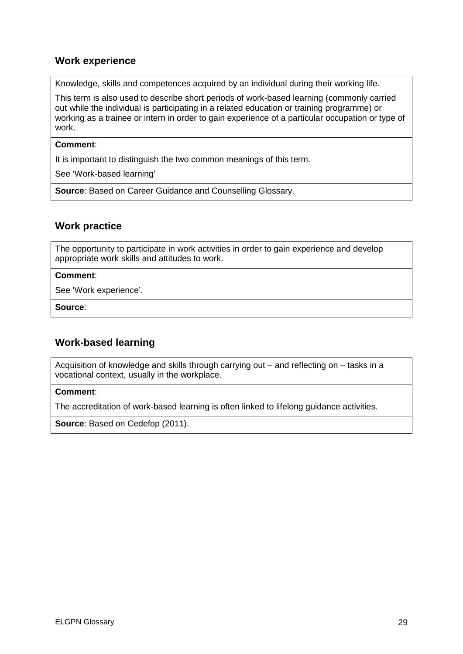# <span id="page-34-0"></span>**Work experience**

Knowledge, skills and competences acquired by an individual during their working life.

This term is also used to describe short periods of work-based learning (commonly carried out while the individual is participating in a related education or training programme) or working as a trainee or intern in order to gain experience of a particular occupation or type of work.

#### **Comment**:

It is important to distinguish the two common meanings of this term.

See 'Work-based learning'

**Source**: Based on Career Guidance and Counselling Glossary.

### <span id="page-34-1"></span>**Work practice**

The opportunity to participate in work activities in order to gain experience and develop appropriate work skills and attitudes to work.

#### **Comment**:

See 'Work experience'.

**Source**:

### <span id="page-34-2"></span>**Work-based learning**

Acquisition of knowledge and skills through carrying out – and reflecting on – tasks in a vocational context, usually in the workplace.

#### **Comment**:

The accreditation of work-based learning is often linked to lifelong guidance activities.

**Source**: Based on Cedefop (2011).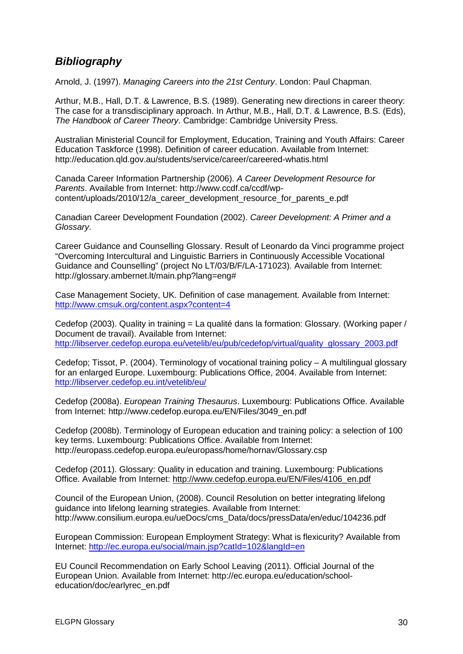# <span id="page-35-0"></span>*Bibliography*

Arnold, J. (1997). *Managing Careers into the 21st Century*. London: Paul Chapman.

Arthur, M.B., Hall, D.T. & Lawrence, B.S. (1989). Generating new directions in career theory: The case for a transdisciplinary approach. In Arthur, M.B., Hall, D.T. & Lawrence, B.S. (Eds), *The Handbook of Career Theory*. Cambridge: Cambridge University Press.

Australian Ministerial Council for Employment, Education, Training and Youth Affairs: Career Education Taskforce (1998). Definition of career education. Available from Internet: http://education.qld.gov.au/students/service/career/careered-whatis.html

Canada Career Information Partnership (2006). *A Career Development Resource for Parents*. Available from Internet: http://www.ccdf.ca/ccdf/wpcontent/uploads/2010/12/a\_career\_development\_resource\_for\_parents\_e.pdf

Canadian Career Development Foundation (2002). *Career Development: A Primer and a Glossary*.

Career Guidance and Counselling Glossary. Result of Leonardo da Vinci programme project "Overcoming Intercultural and Linguistic Barriers in Continuously Accessible Vocational Guidance and Counselling" (project No LT/03/B/F/LA-171023). Available from Internet: [http://glossary.ambernet.lt/main.php?lang=eng#](http://glossary.ambernet.lt/main.php?lang=eng)

Case Management Society, UK. Definition of case management. Available from Internet: <http://www.cmsuk.org/content.aspx?content=4>

Cedefop (2003). Quality in training = La qualité dans la formation: Glossary. (Working paper / Document de travail). Available from Internet: [http://libserver.cedefop.europa.eu/vetelib/eu/pub/cedefop/virtual/quality\\_glossary\\_2003.pdf](http://libserver.cedefop.europa.eu/vetelib/eu/pub/cedefop/virtual/quality_glossary_2003.pdf)

Cedefop; Tissot, P. (2004). Terminology of vocational training policy – A multilingual glossary for an enlarged Europe. Luxembourg: Publications Office, 2004. Available from Internet: <http://libserver.cedefop.eu.int/vetelib/eu/>

Cedefop (2008a). *European Training Thesaurus*. Luxembourg: Publications Office. Available from Internet: [http://www.cedefop.europa.eu/EN/Files/3049\\_en.pdf](http://www.cedefop.europa.eu/EN/Files/3049_en.pdf)

Cedefop (2008b). Terminology of European education and training policy: a selection of 100 key terms. Luxembourg: Publications Office. Available from Internet: <http://europass.cedefop.europa.eu/europass/home/hornav/Glossary.csp>

Cedefop (2011). Glossary: Quality in education and training. Luxembourg: Publications Office. Available from Internet: [http://www.cedefop.europa.eu/EN/Files/4106\\_en.pdf](http://www.cedefop.europa.eu/EN/Files/4106_en.pdf)

Council of the European Union, (2008). Council Resolution on better integrating lifelong guidance into lifelong learning strategies. Available from Internet: http://www.consilium.europa.eu/ueDocs/cms\_Data/docs/pressData/en/educ/104236.pdf

European Commission: European Employment Strategy: What is flexicurity? Available from Internet:<http://ec.europa.eu/social/main.jsp?catId=102&langId=en>

EU Council Recommendation on Early School Leaving (2011). Official Journal of the European Union. Available from Internet: http://ec.europa.eu/education/schooleducation/doc/earlyrec\_en.pdf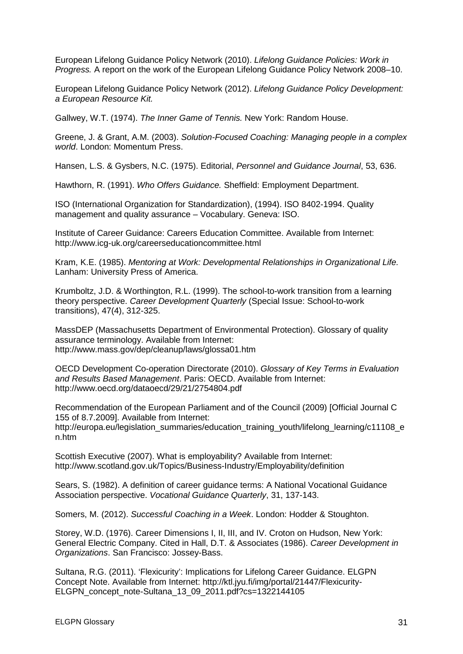European Lifelong Guidance Policy Network (2010). *Lifelong Guidance Policies: Work in Progress.* A report on the work of the European Lifelong Guidance Policy Network 2008–10.

European Lifelong Guidance Policy Network (2012). *Lifelong Guidance Policy Development: a European Resource Kit.*

Gallwey, W.T. (1974). *The Inner Game of Tennis.* New York: Random House.

Greene, J. & Grant, A.M. (2003). *Solution-Focused Coaching: Managing people in a complex world*. London: Momentum Press.

Hansen, L.S. & Gysbers, N.C. (1975). Editorial, *Personnel and Guidance Journal*, 53, 636.

Hawthorn, R. (1991). *Who Offers Guidance.* Sheffield: Employment Department.

ISO (International Organization for Standardization), (1994). ISO 8402-1994. Quality management and quality assurance – Vocabulary. Geneva: ISO.

Institute of Career Guidance: Careers Education Committee. Available from Internet: http://www.icg-uk.org/careerseducationcommittee.html

Kram, K.E. (1985). *Mentoring at Work: Developmental Relationships in Organizational Life.* Lanham: University Press of America.

Krumboltz, J.D. & Worthington, R.L. (1999). The school-to-work transition from a learning theory perspective. *Career Development Quarterly* (Special Issue: School-to-work transitions), 47(4), 312-325.

MassDEP (Massachusetts Department of Environmental Protection). Glossary of quality assurance terminology. Available from Internet: http://www.mass.gov/dep/cleanup/laws/glossa01.htm

OECD Development Co-operation Directorate (2010). *Glossary of Key Terms in Evaluation and Results Based Management*. Paris: OECD. Available from Internet: http://www.oecd.org/dataoecd/29/21/2754804.pdf

Recommendation of the European Parliament and of the Council (2009) [Official Journal C 155 of 8.7.2009]. Available from Internet: http://europa.eu/legislation\_summaries/education\_training\_youth/lifelong\_learning/c11108\_e n.htm

Scottish Executive (2007). What is employability? Available from Internet: [http://www.scotland.gov.uk/Topics/Business-Industry/Employability/d](http://www.scotland.gov.uk/Topics/Business-Industry/Employability/)efinition

Sears, S. (1982). A definition of career guidance terms: A National Vocational Guidance Association perspective. *Vocational Guidance Quarterly*, 31, 137-143.

Somers, M. (2012). *Successful Coaching in a Week*. London: Hodder & Stoughton.

Storey, W.D. (1976). Career Dimensions I, II, III, and IV. Croton on Hudson, New York: General Electric Company. Cited in Hall, D.T. & Associates (1986). *Career Development in Organizations*. San Francisco: Jossey-Bass.

Sultana, R.G. (2011). 'Flexicurity': Implications for Lifelong Career Guidance. ELGPN Concept Note. Available from Internet: [http://ktl.jyu.fi/img/portal/21447/Flexicurity-](http://ktl.jyu.fi/img/portal/21447/Flexicurity-ELGPN_concept_note-Sultana_13_09_2011.pdf?cs=1322144105)[ELGPN\\_concept\\_note-Sultana\\_13\\_09\\_2011.pdf?cs=1322144105](http://ktl.jyu.fi/img/portal/21447/Flexicurity-ELGPN_concept_note-Sultana_13_09_2011.pdf?cs=1322144105)